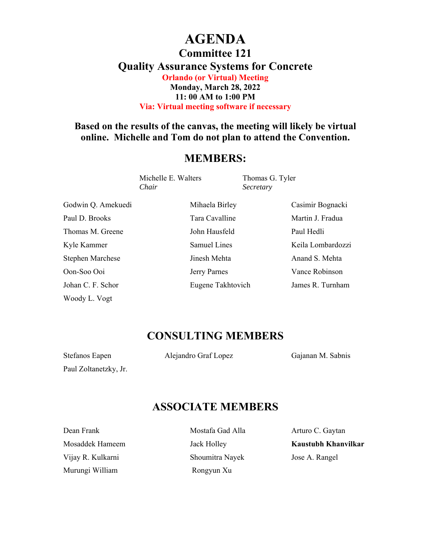# **AGENDA**

**Committee 121** 

**Quality Assurance Systems for Concrete** 

**Orlando (or Virtual) Meeting Monday, March 28, 2022 11: 00 AM to 1:00 PM Via: Virtual meeting software if necessary** 

### **Based on the results of the canvas, the meeting will likely be virtual online. Michelle and Tom do not plan to attend the Convention.**

#### **MEMBERS:**

Michelle E. Walters Thomas G. Tyler *Chair Secretary* 

Paul D. Brooks Tara Cavalline Martin J. Fradua Thomas M. Greene John Hausfeld Paul Hedli Stephen Marchese **Its Stephen Marchese** Jinesh Mehta Anand S. Mehta Oon-Soo Ooi Jerry Parnes Vance Robinson Johan C. F. Schor Eugene Takhtovich James R. Turnham Woody L. Vogt

Godwin Q. Amekuedi Mihaela Birley Casimir Bognacki Kyle Kammer Samuel Lines Keila Lombardozzi

# **CONSULTING MEMBERS**

Paul Zoltanetzky, Jr.

Stefanos Eapen **Alejandro Graf Lopez** Gajanan M. Sabnis

## **ASSOCIATE MEMBERS**

Dean Frank **Mostafa Gad Alla** Arturo C. Gaytan Vijay R. Kulkarni Shoumitra Nayek Jose A. Rangel Murungi William **Rongyun Xu** 

Mosaddek Hameem Jack Holley **Kaustubh Khanvilkar**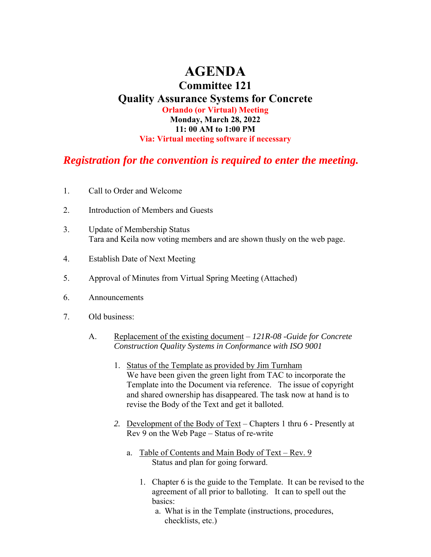# **AGENDA**

#### **Committee 121 Quality Assurance Systems for Concrete Orlando (or Virtual) Meeting Monday, March 28, 2022 11: 00 AM to 1:00 PM Via: Virtual meeting software if necessary**

### *Registration for the convention is required to enter the meeting.*

- 1. Call to Order and Welcome
- 2. Introduction of Members and Guests
- 3. Update of Membership Status Tara and Keila now voting members and are shown thusly on the web page.
- 4. Establish Date of Next Meeting
- 5. Approval of Minutes from Virtual Spring Meeting (Attached)
- 6. Announcements
- 7. Old business:
	- A. Replacement of the existing document *121R-08 -Guide for Concrete Construction Quality Systems in Conformance with ISO 9001*
		- 1. Status of the Template as provided by Jim Turnham We have been given the green light from TAC to incorporate the Template into the Document via reference. The issue of copyright and shared ownership has disappeared. The task now at hand is to revise the Body of the Text and get it balloted.
		- *2.* Development of the Body of Text Chapters 1 thru 6 Presently at Rev 9 on the Web Page – Status of re-write
			- a. Table of Contents and Main Body of Text Rev. 9 Status and plan for going forward.
				- 1. Chapter 6 is the guide to the Template. It can be revised to the agreement of all prior to balloting. It can to spell out the basics:
					- a. What is in the Template (instructions, procedures, checklists, etc.)